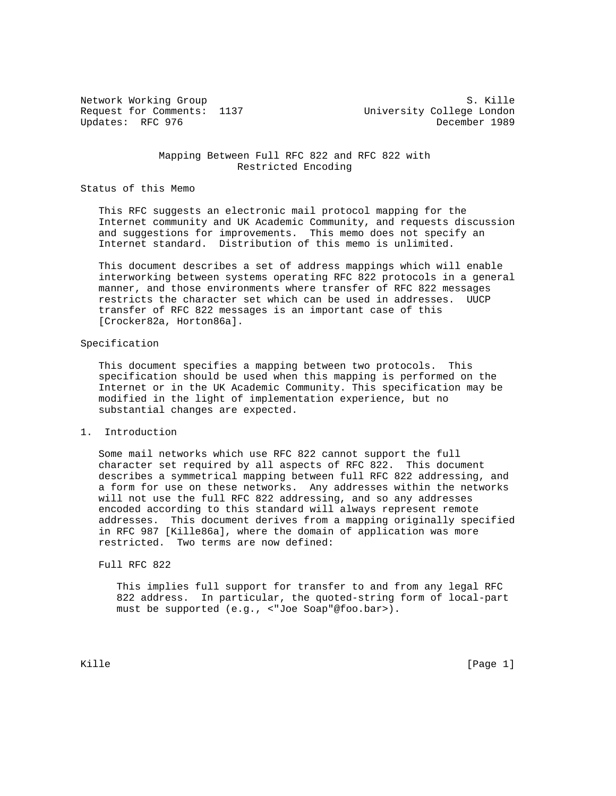Request for Comments: 1137 University College London Updates: RFC 976 December 1989

Network Working Group S. Kille

 Mapping Between Full RFC 822 and RFC 822 with Restricted Encoding

Status of this Memo

 This RFC suggests an electronic mail protocol mapping for the Internet community and UK Academic Community, and requests discussion and suggestions for improvements. This memo does not specify an Internet standard. Distribution of this memo is unlimited.

 This document describes a set of address mappings which will enable interworking between systems operating RFC 822 protocols in a general manner, and those environments where transfer of RFC 822 messages restricts the character set which can be used in addresses. UUCP transfer of RFC 822 messages is an important case of this [Crocker82a, Horton86a].

## Specification

 This document specifies a mapping between two protocols. This specification should be used when this mapping is performed on the Internet or in the UK Academic Community. This specification may be modified in the light of implementation experience, but no substantial changes are expected.

## 1. Introduction

 Some mail networks which use RFC 822 cannot support the full character set required by all aspects of RFC 822. This document describes a symmetrical mapping between full RFC 822 addressing, and a form for use on these networks. Any addresses within the networks will not use the full RFC 822 addressing, and so any addresses encoded according to this standard will always represent remote addresses. This document derives from a mapping originally specified in RFC 987 [Kille86a], where the domain of application was more restricted. Two terms are now defined:

Full RFC 822

 This implies full support for transfer to and from any legal RFC 822 address. In particular, the quoted-string form of local-part must be supported (e.g., <"Joe Soap"@foo.bar>).

Kille [Page 1] [Page 1] [Page 1] [Page 1] [Page 1] [Page 1] [Page 1] [Page 1] [Page 1]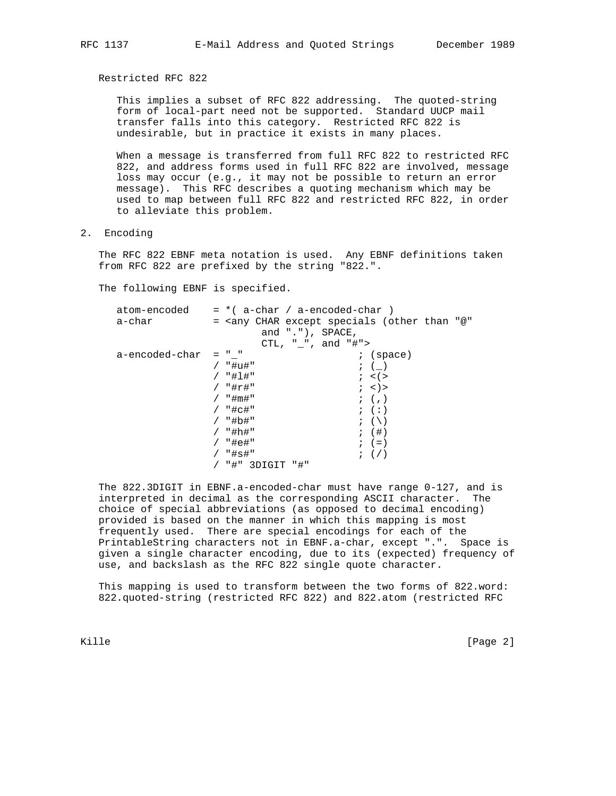Restricted RFC 822

 This implies a subset of RFC 822 addressing. The quoted-string form of local-part need not be supported. Standard UUCP mail transfer falls into this category. Restricted RFC 822 is undesirable, but in practice it exists in many places.

 When a message is transferred from full RFC 822 to restricted RFC 822, and address forms used in full RFC 822 are involved, message loss may occur (e.g., it may not be possible to return an error message). This RFC describes a quoting mechanism which may be used to map between full RFC 822 and restricted RFC 822, in order to alleviate this problem.

2. Encoding

 The RFC 822 EBNF meta notation is used. Any EBNF definitions taken from RFC 822 are prefixed by the string "822.".

The following EBNF is specified.

|                | $atom-encoded = *( a-char / a-encoded-char )$                               |
|----------------|-----------------------------------------------------------------------------|
| a-char         | = <any "@"<="" (other="" char="" except="" specials="" td="" than=""></any> |
|                | and $\vert \cdot \vert$ , $\vert$ , SPACE,                                  |
|                | CTL, " ", and "#">                                                          |
| a-encoded-char | $=$ $"$ $"$<br>$i$ (space)                                                  |
|                | / "#u#"<br>$\,; \quad (\quad)$                                              |
|                | / "#1#"<br>$i \leq 1$                                                       |
|                | / "#r#"<br>$;$ < $)$ >                                                      |
|                | $/$ "#m#"<br>$\mathfrak{z}$ $( \, , \, )$                                   |
|                | / "#c#"<br>$;$ $($ : $)$                                                    |
|                | / "#b#"<br>$\mathfrak{z}$ $\left(\ \backslash\ \right)$                     |
|                | $;$ $($ $#$ $)$<br>/ "#h#"                                                  |
|                | / "#e#"<br>$;$ $(=)$                                                        |
|                | / "#s#"<br>$\left( \begin{array}{c} \cdot \end{array} \right)$              |
|                | / "#" 3DIGIT "#"                                                            |

 The 822.3DIGIT in EBNF.a-encoded-char must have range 0-127, and is interpreted in decimal as the corresponding ASCII character. The choice of special abbreviations (as opposed to decimal encoding) provided is based on the manner in which this mapping is most frequently used. There are special encodings for each of the PrintableString characters not in EBNF.a-char, except ".". Space is given a single character encoding, due to its (expected) frequency of use, and backslash as the RFC 822 single quote character.

 This mapping is used to transform between the two forms of 822.word: 822.quoted-string (restricted RFC 822) and 822.atom (restricted RFC

Kille [Page 2]